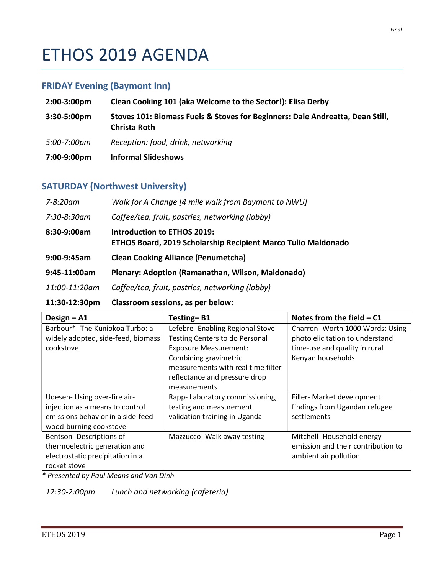# ETHOS 2019 AGENDA

## FRIDAY Evening (Baymont Inn)

| $2:00-3:00 \text{pm}$ | Clean Cooking 101 (aka Welcome to the Sector!): Elisa Derby                                          |
|-----------------------|------------------------------------------------------------------------------------------------------|
| $3:30-5:00 \text{pm}$ | Stoves 101: Biomass Fuels & Stoves for Beginners: Dale Andreatta, Dean Still,<br><b>Christa Roth</b> |
| 5:00-7:00pm           | Reception: food, drink, networking                                                                   |
| 7:00-9:00pm           | <b>Informal Slideshows</b>                                                                           |

### SATURDAY (Northwest University)

| 7-8:20am       | Walk for A Change [4 mile walk from Baymont to NWU]                                                        |
|----------------|------------------------------------------------------------------------------------------------------------|
| 7:30-8:30am    | Coffee/tea, fruit, pastries, networking (lobby)                                                            |
| 8:30-9:00am    | <b>Introduction to ETHOS 2019:</b><br><b>ETHOS Board, 2019 Scholarship Recipient Marco Tulio Maldonado</b> |
| $9:00-9:45am$  | <b>Clean Cooking Alliance (Penumetcha)</b>                                                                 |
| $9:45-11:00am$ | Plenary: Adoption (Ramanathan, Wilson, Maldonado)                                                          |
| 11:00-11:20am  | Coffee/tea, fruit, pastries, networking (lobby)                                                            |
| 11:30-12:30pm  | Classroom sessions, as per below:                                                                          |

| Design $-$ A1                      | Testing-B1                         | Notes from the field $-$ C1        |  |
|------------------------------------|------------------------------------|------------------------------------|--|
| Barbour*- The Kuniokoa Turbo: a    | Lefebre- Enabling Regional Stove   | Charron- Worth 1000 Words: Using   |  |
| widely adopted, side-feed, biomass | Testing Centers to do Personal     | photo elicitation to understand    |  |
| cookstove                          | <b>Exposure Measurement:</b>       | time-use and quality in rural      |  |
|                                    | Combining gravimetric              | Kenyan households                  |  |
|                                    | measurements with real time filter |                                    |  |
|                                    | reflectance and pressure drop      |                                    |  |
|                                    | measurements                       |                                    |  |
| Udesen- Using over-fire air-       | Rapp-Laboratory commissioning,     | Filler- Market development         |  |
| injection as a means to control    | testing and measurement            | findings from Ugandan refugee      |  |
| emissions behavior in a side-feed  | validation training in Uganda      | settlements                        |  |
| wood-burning cookstove             |                                    |                                    |  |
| Bentson-Descriptions of            | Mazzucco- Walk away testing        | Mitchell- Household energy         |  |
| thermoelectric generation and      |                                    | emission and their contribution to |  |
| electrostatic precipitation in a   |                                    | ambient air pollution              |  |
| rocket stove                       |                                    |                                    |  |

\* Presented by Paul Means and Van Dinh

12:30-2:00pm Lunch and networking (cafeteria)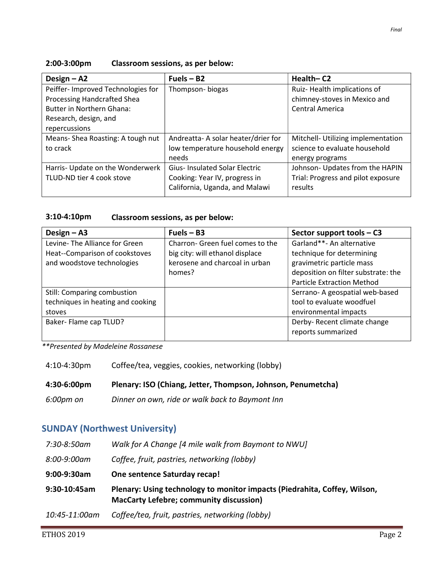#### 2:00-3:00pm Classroom sessions, as per below:

| Design $-$ A2                     | $Fuels - B2$                         | Health-C2                          |
|-----------------------------------|--------------------------------------|------------------------------------|
| Peiffer-Improved Technologies for | Thompson-biogas                      | Ruiz-Health implications of        |
| Processing Handcrafted Shea       |                                      | chimney-stoves in Mexico and       |
| <b>Butter in Northern Ghana:</b>  |                                      | <b>Central America</b>             |
| Research, design, and             |                                      |                                    |
| repercussions                     |                                      |                                    |
| Means-Shea Roasting: A tough nut  | Andreatta-A solar heater/drier for   | Mitchell- Utilizing implementation |
| to crack                          | low temperature household energy     | science to evaluate household      |
|                                   | needs                                | energy programs                    |
| Harris- Update on the Wonderwerk  | <b>Gius-Insulated Solar Electric</b> | Johnson- Updates from the HAPIN    |
| TLUD-ND tier 4 cook stove         | Cooking: Year IV, progress in        | Trial: Progress and pilot exposure |
|                                   | California, Uganda, and Malawi       | results                            |

#### 3:10-4:10pm Classroom sessions, as per below:

| Design $-$ A3                     | $Fuels - B3$                     | Sector support tools - C3           |
|-----------------------------------|----------------------------------|-------------------------------------|
| Levine-The Alliance for Green     | Charron- Green fuel comes to the | Garland**- An alternative           |
| Heat--Comparison of cookstoves    | big city: will ethanol displace  | technique for determining           |
| and woodstove technologies        | kerosene and charcoal in urban   | gravimetric particle mass           |
|                                   | homes?                           | deposition on filter substrate: the |
|                                   |                                  | <b>Particle Extraction Method</b>   |
| Still: Comparing combustion       |                                  | Serrano-A geospatial web-based      |
| techniques in heating and cooking |                                  | tool to evaluate woodfuel           |
| stoves                            |                                  | environmental impacts               |
| Baker- Flame cap TLUD?            |                                  | Derby-Recent climate change         |
|                                   |                                  | reports summarized                  |

\*\*Presented by Madeleine Rossanese

4:10-4:30pm Coffee/tea, veggies, cookies, networking (lobby)

|  | 4:30-6:00pm | Plenary: ISO (Chiang, Jetter, Thompson, Johnson, Penumetcha) |
|--|-------------|--------------------------------------------------------------|
|--|-------------|--------------------------------------------------------------|

6:00pm on Dinner on own, ride or walk back to Baymont Inn

# SUNDAY (Northwest University)

| 7:30-8:50am  | Walk for A Change [4 mile walk from Baymont to NWU]                                                                         |
|--------------|-----------------------------------------------------------------------------------------------------------------------------|
| 8:00-9:00am  | Coffee, fruit, pastries, networking (lobby)                                                                                 |
| 9:00-9:30am  | One sentence Saturday recap!                                                                                                |
| 9:30-10:45am | Plenary: Using technology to monitor impacts (Piedrahita, Coffey, Wilson,<br><b>MacCarty Lefebre; community discussion)</b> |
|              |                                                                                                                             |